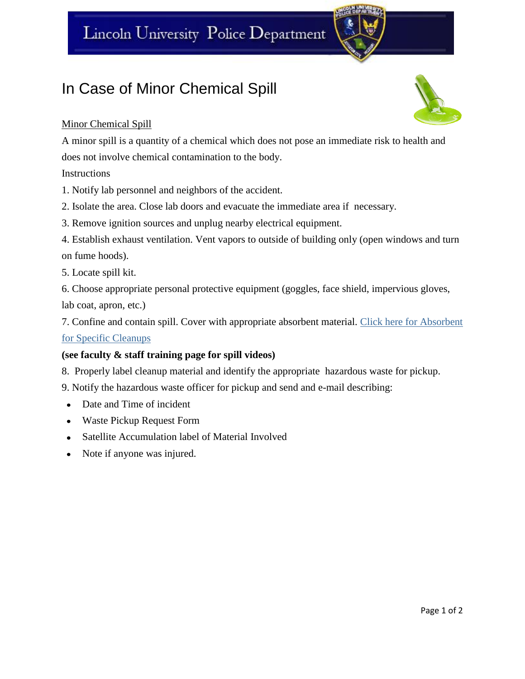## Lincoln University Police Department

### In Case of Minor Chemical Spill

#### Minor Chemical Spill

A minor spill is a quantity of a chemical which does not pose an immediate risk to health and does not involve chemical contamination to the body.

Instructions

1. Notify lab personnel and neighbors of the accident.

2. Isolate the area. Close lab doors and evacuate the immediate area if necessary.

3. Remove ignition sources and unplug nearby electrical equipment.

4. Establish exhaust ventilation. Vent vapors to outside of building only (open windows and turn on fume hoods).

5. Locate spill kit.

6. Choose appropriate personal protective equipment (goggles, face shield, impervious gloves,

lab coat, apron, etc.)

7. Confine and contain spill. Cover with appropriate absorbent material. [Click here for Absorbent](https://bluetigerportal.lincolnu.edu/web/police-department/special-spill-cleanup-procedures)  [for Specific Cleanups](https://bluetigerportal.lincolnu.edu/web/police-department/special-spill-cleanup-procedures)

#### **(see faculty & staff training page for spill videos)**

8. Properly label cleanup material and identify the appropriate hazardous waste for pickup.

9. Notify the hazardous waste officer for pickup and send and e-mail describing:

- Date and Time of incident
- Waste Pickup Request Form
- Satellite Accumulation label of Material Involved  $\bullet$
- Note if anyone was injured.